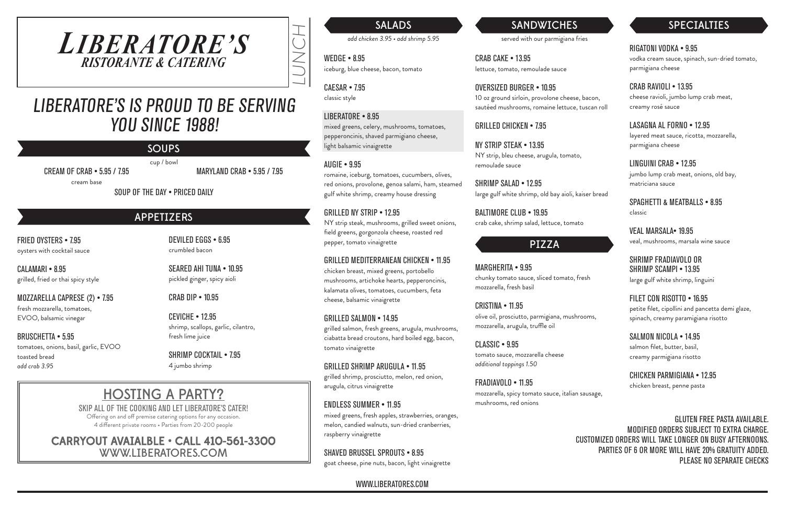LUNCH

served with our parmigiana fries

CRAB CAKE • 13.95 lettuce, tomato, remoulade sauce

OVERSIZED BURGER • 10.95 10 oz ground sirloin, provolone cheese, bacon, sautéed mushrooms, romaine lettuce, tuscan roll

BALTIMORE CLUB • 19.95 crab cake, shrimp salad, lettuce, tomato

GRILLED CHICKEN • 7.95

NY STRIP STEAK • 13.95 NY strip, bleu cheese, arugula, tomato, remoulade sauce

SHRIMP SALAD • 12.95 large gulf white shrimp, old bay aioli, kaiser bread

SALADS

*add chicken 3.95 • add shrimp 5.95*

WEDGE • 8.95 iceburg, blue cheese, bacon, tomato

CAESAR • 7.95 classic style

#### LIBERATORE • 8.95

mixed greens, celery, mushrooms, tomatoes, pepperoncinis, shaved parmigiano cheese, light balsamic vinaigrette

#### AUGIE • 9.95

romaine, iceburg, tomatoes, cucumbers, olives, red onions, provolone, genoa salami, ham, steamed gulf white shrimp, creamy house dressing

#### GRILLED NY STRIP • 12.95

NY strip steak, mushrooms, grilled sweet onions, field greens, gorgonzola cheese, roasted red pepper, tomato vinaigrette

#### GRILLED MEDITERRANEAN CHICKEN • 11.95

chicken breast, mixed greens, portobello mushrooms, artichoke hearts, pepperoncinis, kalamata olives, tomatoes, cucumbers, feta cheese, balsamic vinaigrette

CALAMARI • 8.95 grilled, fried or thai spicy style

#### GRILLED SALMON • 14.95

grilled salmon, fresh greens, arugula, mushrooms, ciabatta bread croutons, hard boiled egg, bacon, tomato vinaigrette

# LIBERATORE'S IS PROUD TO BE SERVING YOU SINCE 1988!

GRILLED SHRIMP ARUGULA • 11.95

grilled shrimp, prosciutto, melon, red onion, arugula, citrus vinaigrette

#### ENDLESS SUMMER • 11.95

mixed greens, fresh apples, strawberries, oranges, melon, candied walnuts, sun-dried cranberries, raspberry vinaigrette

### SHAVED BRUSSEL SPROUTS • 8.95

goat cheese, pine nuts, bacon, light vinaigrette

# **SANDWICHES**

# *LIBERATORE'S RISTORANTE & CATERING*

GLUTEN FREE PASTA AVAILABLE. MODIFIED ORDERS SUBJECT TO EXTRA CHARGE. CUSTOMIZED ORDERS WILL TAKE LONGER ON BUSY AFTERNOONS. PARTIES OF 6 OR MORE WILL HAVE 20% GRATUITY ADDED. PLEASE NO SEPARATE CHECKS

# HOSTING A PARTY?

SKIP ALL OF THE COOKING AND LET LIBERATORE'S CATER! Offering on and off premise catering options for any occasion.

4 different private rooms • Parties from 20-200 people

### CARRYOUT AVAIALBLE • CALL 410-561-3300 WWW.LIBERATORES.COM

FRIED OYSTERS • 7.95 oysters with cocktail sauce

MOZZARELLA CAPRESE (2) • 7.95 fresh mozzarella, tomatoes, EVOO, balsamic vinegar

BRUSCHETTA • 5.95 tomatoes, onions, basil, garlic, EVOO toasted bread *add crab 3.95*

DEVILED EGGS • 6.95 crumbled bacon

SEARED AHI TUNA • 10.95 pickled ginger, spicy aioli

CRAB DIP • 10.95

CEVICHE • 12.95 shrimp, scallops, garlic, cilantro, fresh lime juice

SHRIMP COCKTAIL • 7.95 4 jumbo shrimp

## APPETIZERS

### MARGHERITA • 9.95

chunky tomato sauce, sliced tomato, fresh mozzarella, fresh basil

#### CRISTINA • 11.95

olive oil, prosciutto, parmigiana, mushrooms, mozzarella, arugula, truffle oil

#### CLASSIC • 9.95

tomato sauce, mozzarella cheese *additional toppings 1.50*

#### FRADIAVOLO • 11.95

mozzarella, spicy tomato sauce, italian sausage, mushrooms, red onions

### PIZZA

RIGATONI VODKA • 9.95

vodka cream sauce, spinach, sun-dried tomato, parmigiana cheese

CRAB RAVIOLI • 13.95 cheese ravioli, jumbo lump crab meat, creamy rosé sauce

LASAGNA AL FORNO • 12.95 layered meat sauce, ricotta, mozzarella, parmigiana cheese

LINGUINI CRAB • 12.95 jumbo lump crab meat, onions, old bay, matriciana sauce

SPAGHETTI & MEATBALLS • 8.95 classic

VEAL MARSALA• 19.95 veal, mushrooms, marsala wine sauce

SHRIMP FRADIAVOLO OR SHRIMP SCAMPI • 13.95 large gulf white shrimp, linguini

FILET CON RISOTTO • 16.95 petite filet, cipollini and pancetta demi glaze, spinach, creamy paramigiana risotto

SALMON NICOLA • 14.95 salmon filet, butter, basil, creamy parmigiana risotto

CHICKEN PARMIGIANA • 12.95 chicken breast, penne pasta

# SPECIALTIES

CREAM OF CRAB • 5.95 / 7.95

cream base

MARYLAND CRAB • 5.95 / 7.95

SOUP OF THE DAY • PRICED DAILY

#### SOUPS cup / bowl